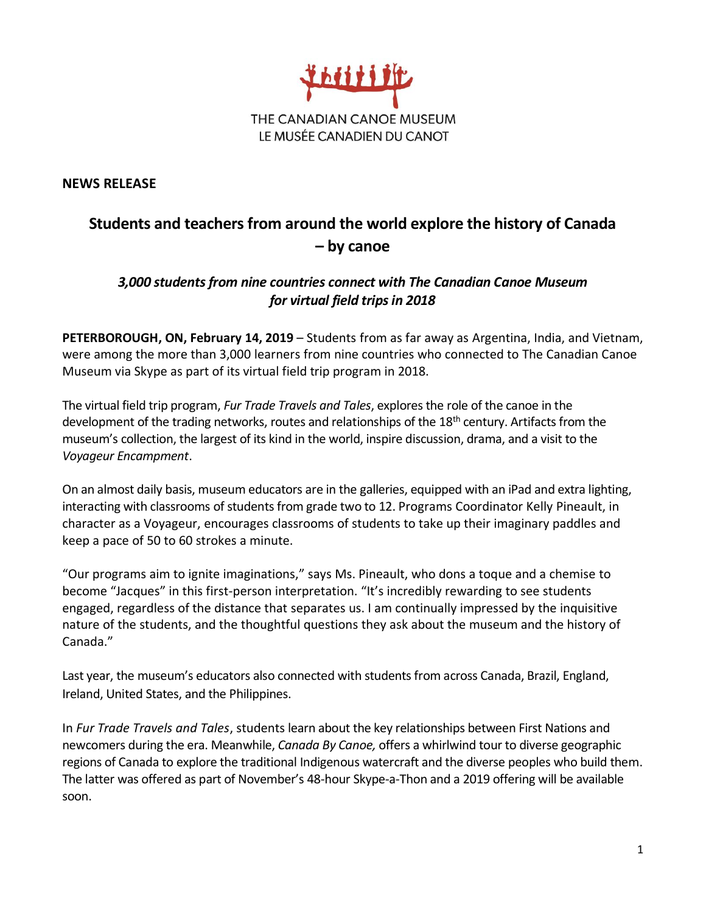

**NEWS RELEASE**

## **Students and teachers from around the world explore the history of Canada – by canoe**

## *3,000 students from nine countries connect with The Canadian Canoe Museum for virtual field trips in 2018*

**PETERBOROUGH, ON, February 14, 2019** – Students from as far away as Argentina, India, and Vietnam, were among the more than 3,000 learners from nine countries who connected to The Canadian Canoe Museum via Skype as part of its virtual field trip program in 2018.

The virtual field trip program, *Fur Trade Travels and Tales*, explores the role of the canoe in the development of the trading networks, routes and relationships of the 18<sup>th</sup> century. Artifacts from the museum's collection, the largest of its kind in the world, inspire discussion, drama, and a visit to the *Voyageur Encampment*.

On an almost daily basis, museum educators are in the galleries, equipped with an iPad and extra lighting, interacting with classrooms of students from grade two to 12. Programs Coordinator Kelly Pineault, in character as a Voyageur, encourages classrooms of students to take up their imaginary paddles and keep a pace of 50 to 60 strokes a minute.

"Our programs aim to ignite imaginations," says Ms. Pineault, who dons a toque and a chemise to become "Jacques" in this first-person interpretation. "It's incredibly rewarding to see students engaged, regardless of the distance that separates us. I am continually impressed by the inquisitive nature of the students, and the thoughtful questions they ask about the museum and the history of Canada."

Last year, the museum's educators also connected with students from across Canada, Brazil, England, Ireland, United States, and the Philippines.

In *Fur Trade Travels and Tales*, students learn about the key relationships between First Nations and newcomers during the era. Meanwhile, *Canada By Canoe,* offers a whirlwind tour to diverse geographic regions of Canada to explore the traditional Indigenous watercraft and the diverse peoples who build them. The latter was offered as part of November's 48-hour Skype-a-Thon and a 2019 offering will be available soon.